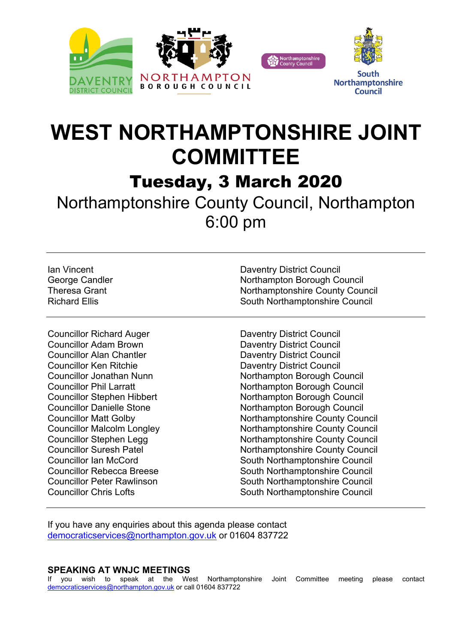





South **Northamptonshire Council** 

## **WEST NORTHAMPTONSHIRE JOINT COMMITTEE**

Tuesday, 3 March 2020

Northamptonshire County Council, Northampton 6:00 pm

Councillor Richard Auger Daventry District Council **Councillor Adam Brown Daventry District Council** Councillor Alan Chantler **Daventry District Council** Councillor Ken Ritchie **Daventry District Council** 

Ian Vincent Daventry District Council George Candler **Northampton Borough Council** Theresa Grant Northamptonshire County Council Richard Ellis **South Northamptonshire Council** South Northamptonshire Council

Councillor Jonathan Nunn Nunn Northampton Borough Council Councillor Phil Larratt **Northampton Borough Council** Councillor Stephen Hibbert Northampton Borough Council Councillor Danielle Stone Northampton Borough Council Councillor Matt Golby Northamptonshire County Council Councillor Malcolm Longley Northamptonshire County Council Councillor Stephen Legg Northamptonshire County Council Councillor Suresh Patel Northamptonshire County Council Councillor Ian McCord **South Northamptonshire Council** Councillor Rebecca Breese South Northamptonshire Council Councillor Peter Rawlinson South Northamptonshire Council Councillor Chris Lofts **South Northamptonshire Council** 

If you have any enquiries about this agenda please contact [democraticservices@northampton.gov.uk](mailto:democraticservices@northampton.gov.uk) or 01604 837722

## **SPEAKING AT WNJC MEETINGS**

If you wish to speak at the West Northamptonshire Joint Committee meeting please contact [democraticservices@northampton.gov.uk](mailto:democraticservices@northampton.gov.uk) or call 01604 837722